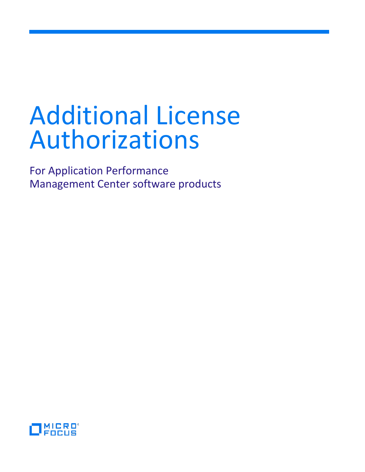# Additional License Authorizations

For Application Performance Management Center software products

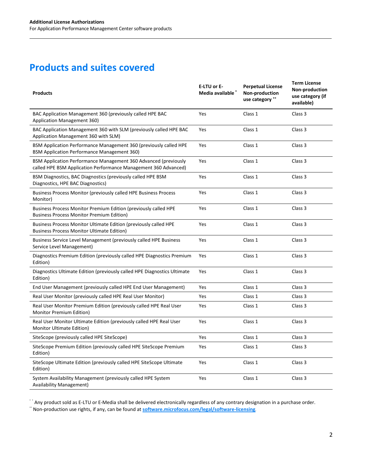# **Products and suites covered**

| <b>Products</b>                                                                                                                    | E-LTU or E-<br>Media available * | <b>Perpetual License</b><br>Non-production<br>use category ** | <b>Term License</b><br>Non-production<br>use category (if<br>available) |
|------------------------------------------------------------------------------------------------------------------------------------|----------------------------------|---------------------------------------------------------------|-------------------------------------------------------------------------|
| BAC Application Management 360 (previously called HPE BAC<br><b>Application Management 360)</b>                                    | Yes                              | Class 1                                                       | Class 3                                                                 |
| BAC Application Management 360 with SLM (previously called HPE BAC<br>Application Management 360 with SLM)                         | Yes                              | Class 1                                                       | Class 3                                                                 |
| BSM Application Performance Management 360 (previously called HPE<br><b>BSM Application Performance Management 360)</b>            | Yes                              | Class 1                                                       | Class 3                                                                 |
| BSM Application Performance Management 360 Advanced (previously<br>called HPE BSM Application Performance Management 360 Advanced) | Yes                              | Class 1                                                       | Class 3                                                                 |
| BSM Diagnostics, BAC Diagnostics (previously called HPE BSM<br>Diagnostics, HPE BAC Diagnostics)                                   | Yes                              | Class 1                                                       | Class 3                                                                 |
| Business Process Monitor (previously called HPE Business Process<br>Monitor)                                                       | Yes                              | Class 1                                                       | Class 3                                                                 |
| Business Process Monitor Premium Edition (previously called HPE<br><b>Business Process Monitor Premium Edition)</b>                | Yes                              | Class 1                                                       | Class 3                                                                 |
| Business Process Monitor Ultimate Edition (previously called HPE<br><b>Business Process Monitor Ultimate Edition)</b>              | Yes                              | Class 1                                                       | Class 3                                                                 |
| Business Service Level Management (previously called HPE Business<br>Service Level Management)                                     | Yes                              | Class 1                                                       | Class 3                                                                 |
| Diagnostics Premium Edition (previously called HPE Diagnostics Premium<br>Edition)                                                 | Yes                              | Class 1                                                       | Class 3                                                                 |
| Diagnostics Ultimate Edition (previously called HPE Diagnostics Ultimate<br>Edition)                                               | Yes                              | Class 1                                                       | Class 3                                                                 |
| End User Management (previously called HPE End User Management)                                                                    | Yes                              | Class 1                                                       | Class 3                                                                 |
| Real User Monitor (previously called HPE Real User Monitor)                                                                        | Yes                              | Class 1                                                       | Class 3                                                                 |
| Real User Monitor Premium Edition (previously called HPE Real User<br><b>Monitor Premium Edition)</b>                              | Yes                              | Class 1                                                       | Class 3                                                                 |
| Real User Monitor Ultimate Edition (previously called HPE Real User<br><b>Monitor Ultimate Edition)</b>                            | Yes                              | Class 1                                                       | Class 3                                                                 |
| SiteScope (previously called HPE SiteScope)                                                                                        | Yes                              | Class 1                                                       | Class 3                                                                 |
| SiteScope Premium Edition (previously called HPE SiteScope Premium<br>Edition)                                                     | Yes                              | Class 1                                                       | Class 3                                                                 |
| SiteScope Ultimate Edition (previously called HPE SiteScope Ultimate<br>Edition)                                                   | Yes                              | Class 1                                                       | Class 3                                                                 |
| System Availability Management (previously called HPE System<br><b>Availability Management)</b>                                    | Yes                              | Class 1                                                       | Class 3                                                                 |

\* \* Any product sold as E-LTU or E-Media shall be delivered electronically regardless of any contrary designation in a purchase order. \*\* Non-production use rights, if any, can be found at **[software.microfocus.com/legal/software-licensing](https://software.microfocus.com/legal/software-licensing)**.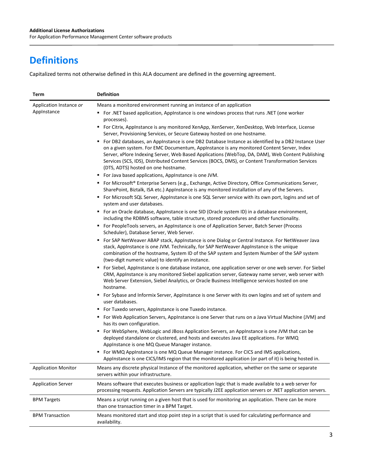# **Definitions**

Capitalized terms not otherwise defined in this ALA document are defined in the governing agreement.

| Term                       | <b>Definition</b>                                                                                                                                                                                                                                                                                                                                                                                                                                     |
|----------------------------|-------------------------------------------------------------------------------------------------------------------------------------------------------------------------------------------------------------------------------------------------------------------------------------------------------------------------------------------------------------------------------------------------------------------------------------------------------|
| Application Instance or    | Means a monitored environment running an instance of an application                                                                                                                                                                                                                                                                                                                                                                                   |
| Applnstance                | ■ For .NET based application, Applnstance is one windows process that runs .NET (one worker<br>processes).                                                                                                                                                                                                                                                                                                                                            |
|                            | ■ For Citrix, Applnstance is any monitored XenApp, XenServer, XenDesktop, Web Interface, License<br>Server, Provisioning Services, or Secure Gateway hosted on one hostname.                                                                                                                                                                                                                                                                          |
|                            | For DB2 databases, an AppInstance is one DB2 Database Instance as identified by a DB2 Instance User<br>٠<br>on a given system. For EMC Documentum, AppInstance is any monitored Content Server, Index<br>Server, xPlore Indexing Server, Web Based Applications (WebTop, DA, DAM), Web Content Publishing<br>Services (SCS, IDS), Distributed Content Services (BOCS, DMS), or Content Transformation Services<br>(DTS, ADTS) hosted on one hostname. |
|                            | • For Java based applications, AppInstance is one JVM.                                                                                                                                                                                                                                                                                                                                                                                                |
|                            | ■ For Microsoft® Enterprise Servers (e.g., Exchange, Active Directory, Office Communications Server,<br>SharePoint, Biztalk, ISA etc.) AppInstance is any monitored installation of any of the Servers.                                                                                                                                                                                                                                               |
|                            | ■ For Microsoft SQL Server, Applnstance is one SQL Server service with its own port, logins and set of<br>system and user databases.                                                                                                                                                                                                                                                                                                                  |
|                            | ■ For an Oracle database, AppInstance is one SID (Oracle system ID) in a database environment,<br>including the RDBMS software, table structure, stored procedures and other functionality.                                                                                                                                                                                                                                                           |
|                            | For PeopleTools servers, an AppInstance is one of Application Server, Batch Server (Process<br>٠.<br>Scheduler), Database Server, Web Server.                                                                                                                                                                                                                                                                                                         |
|                            | For SAP NetWeaver ABAP stack, AppInstance is one Dialog or Central Instance. For NetWeaver Java<br>٠<br>stack, AppInstance is one JVM. Technically, for SAP NetWeaver AppInstance is the unique<br>combination of the hostname, System ID of the SAP system and System Number of the SAP system<br>(two-digit numeric value) to identify an instance.                                                                                                 |
|                            | For Siebel, AppInstance is one database instance, one application server or one web server. For Siebel<br>٠<br>CRM, AppInstance is any monitored Siebel application server, Gateway name server, web server with<br>Web Server Extension, Siebel Analytics, or Oracle Business Intelligence services hosted on one<br>hostname.                                                                                                                       |
|                            | ■ For Sybase and Informix Server, AppInstance is one Server with its own logins and set of system and<br>user databases.                                                                                                                                                                                                                                                                                                                              |
|                            | • For Tuxedo servers, Applnstance is one Tuxedo instance.                                                                                                                                                                                                                                                                                                                                                                                             |
|                            | For Web Application Servers, Applnstance is one Server that runs on a Java Virtual Machine (JVM) and<br>has its own configuration.                                                                                                                                                                                                                                                                                                                    |
|                            | ■ For WebSphere, WebLogic and JBoss Application Servers, an AppInstance is one JVM that can be<br>deployed standalone or clustered, and hosts and executes Java EE applications. For WMQ<br>AppInstance is one MQ Queue Manager instance.                                                                                                                                                                                                             |
|                            | ■ For WMQ AppInstance is one MQ Queue Manager instance. For CICS and IMS applications,<br>AppInstance is one CICS/IMS region that the monitored application (or part of it) is being hosted in.                                                                                                                                                                                                                                                       |
| <b>Application Monitor</b> | Means any discrete physical Instance of the monitored application, whether on the same or separate<br>servers within your infrastructure.                                                                                                                                                                                                                                                                                                             |
| <b>Application Server</b>  | Means software that executes business or application logic that is made available to a web server for<br>processing requests. Application Servers are typically J2EE application servers or .NET application servers.                                                                                                                                                                                                                                 |
| <b>BPM Targets</b>         | Means a script running on a given host that is used for monitoring an application. There can be more<br>than one transaction timer in a BPM Target.                                                                                                                                                                                                                                                                                                   |
| <b>BPM Transaction</b>     | Means monitored start and stop point step in a script that is used for calculating performance and<br>availability.                                                                                                                                                                                                                                                                                                                                   |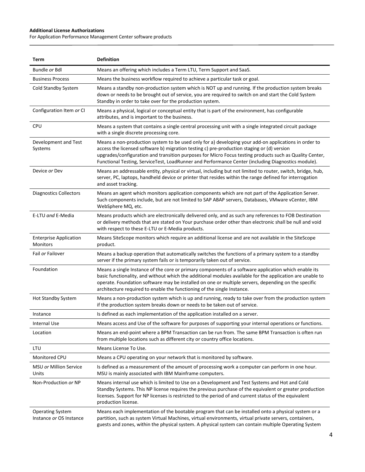#### **Additional License Authorizations**

 $\overline{\phantom{a}}$ 

For Application Performance Management Center software products

| Term                                               | <b>Definition</b>                                                                                                                                                                                                                                                                                                                                                                                                   |
|----------------------------------------------------|---------------------------------------------------------------------------------------------------------------------------------------------------------------------------------------------------------------------------------------------------------------------------------------------------------------------------------------------------------------------------------------------------------------------|
| Bundle or Bdl                                      | Means an offering which includes a Term LTU, Term Support and SaaS.                                                                                                                                                                                                                                                                                                                                                 |
| <b>Business Process</b>                            | Means the business workflow required to achieve a particular task or goal.                                                                                                                                                                                                                                                                                                                                          |
| Cold Standby System                                | Means a standby non-production system which is NOT up and running. If the production system breaks<br>down or needs to be brought out of service, you are required to switch on and start the Cold System<br>Standby in order to take over for the production system.                                                                                                                                               |
| Configuration Item or CI                           | Means a physical, logical or conceptual entity that is part of the environment, has configurable<br>attributes, and is important to the business.                                                                                                                                                                                                                                                                   |
| <b>CPU</b>                                         | Means a system that contains a single central processing unit with a single integrated circuit package<br>with a single discrete processing core.                                                                                                                                                                                                                                                                   |
| Development and Test<br>Systems                    | Means a non-production system to be used only for a) developing your add-on applications in order to<br>access the licensed software b) migration testing c) pre-production staging or (d) version<br>upgrades/configuration and transition purposes for Micro Focus testing products such as Quality Center,<br>Functional Testing, ServiceTest, LoadRunner and Performance Center (including Diagnostics module). |
| Device or Dev                                      | Means an addressable entity, physical or virtual, including but not limited to router, switch, bridge, hub,<br>server, PC, laptops, handheld device or printer that resides within the range defined for interrogation<br>and asset tracking.                                                                                                                                                                       |
| <b>Diagnostics Collectors</b>                      | Means an agent which monitors application components which are not part of the Application Server.<br>Such components include, but are not limited to SAP ABAP servers, Databases, VMware vCenter, IBM<br>WebSphere MQ, etc.                                                                                                                                                                                        |
| E-LTU and E-Media                                  | Means products which are electronically delivered only, and as such any references to FOB Destination<br>or delivery methods that are stated on Your purchase order other than electronic shall be null and void<br>with respect to these E-LTU or E-Media products.                                                                                                                                                |
| <b>Enterprise Application</b><br>Monitors          | Means SiteScope monitors which require an additional license and are not available in the SiteScope<br>product.                                                                                                                                                                                                                                                                                                     |
| Fail or Failover                                   | Means a backup operation that automatically switches the functions of a primary system to a standby<br>server if the primary system fails or is temporarily taken out of service.                                                                                                                                                                                                                                   |
| Foundation                                         | Means a single Instance of the core or primary components of a software application which enable its<br>basic functionality, and without which the additional modules available for the application are unable to<br>operate. Foundation software may be installed on one or multiple servers, depending on the specific<br>architecture required to enable the functioning of the single Instance.                 |
| <b>Hot Standby System</b>                          | Means a non-production system which is up and running, ready to take over from the production system<br>if the production system breaks down or needs to be taken out of service.                                                                                                                                                                                                                                   |
| Instance                                           | Is defined as each implementation of the application installed on a server.                                                                                                                                                                                                                                                                                                                                         |
| <b>Internal Use</b>                                | Means access and Use of the software for purposes of supporting your internal operations or functions.                                                                                                                                                                                                                                                                                                              |
| Location                                           | Means an end-point where a BPM Transaction can be run from. The same BPM Transaction is often run<br>from multiple locations such as different city or country office locations.                                                                                                                                                                                                                                    |
| LTU                                                | Means License To Use.                                                                                                                                                                                                                                                                                                                                                                                               |
| Monitored CPU                                      | Means a CPU operating on your network that is monitored by software.                                                                                                                                                                                                                                                                                                                                                |
| MSU or Million Service<br>Units                    | Is defined as a measurement of the amount of processing work a computer can perform in one hour.<br>MSU is mainly associated with IBM Mainframe computers.                                                                                                                                                                                                                                                          |
| Non-Production or NP                               | Means internal use which is limited to Use on a Development and Test Systems and Hot and Cold<br>Standby Systems. This NP license requires the previous purchase of the equivalent or greater production<br>licenses. Support for NP licenses is restricted to the period of and current status of the equivalent<br>production license.                                                                            |
| <b>Operating System</b><br>Instance or OS Instance | Means each implementation of the bootable program that can be installed onto a physical system or a<br>partition, such as system Virtual Machines, virtual environments, virtual private servers, containers,<br>guests and zones, within the physical system. A physical system can contain multiple Operating System                                                                                              |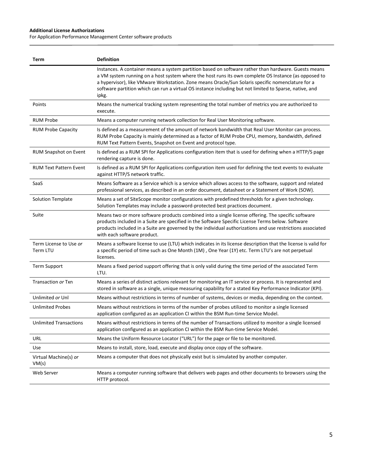#### **Additional License Authorizations**

 $\overline{\phantom{a}}$ 

For Application Performance Management Center software products

| Term                               | <b>Definition</b>                                                                                                                                                                                                                                                                                                                                                                                                                     |
|------------------------------------|---------------------------------------------------------------------------------------------------------------------------------------------------------------------------------------------------------------------------------------------------------------------------------------------------------------------------------------------------------------------------------------------------------------------------------------|
|                                    | Instances. A container means a system partition based on software rather than hardware. Guests means<br>a VM system running on a host system where the host runs its own complete OS Instance (as opposed to<br>a hypervisor), like VMware Workstation. Zone means Oracle/Sun Solaris specific nomenclature for a<br>software partition which can run a virtual OS instance including but not limited to Sparse, native, and<br>ipkg. |
| Points                             | Means the numerical tracking system representing the total number of metrics you are authorized to<br>execute.                                                                                                                                                                                                                                                                                                                        |
| <b>RUM Probe</b>                   | Means a computer running network collection for Real User Monitoring software.                                                                                                                                                                                                                                                                                                                                                        |
| <b>RUM Probe Capacity</b>          | Is defined as a measurement of the amount of network bandwidth that Real User Monitor can process.<br>RUM Probe Capacity is mainly determined as a factor of RUM Probe CPU, memory, bandwidth, defined<br>RUM Text Pattern Events, Snapshot on Event and protocol type.                                                                                                                                                               |
| <b>RUM Snapshot on Event</b>       | Is defined as a RUM SPI for Applications configuration item that is used for defining when a HTTP/S page<br>rendering capture is done.                                                                                                                                                                                                                                                                                                |
| <b>RUM Text Pattern Event</b>      | Is defined as a RUM SPI for Applications configuration item used for defining the text events to evaluate<br>against HTTP/S network traffic.                                                                                                                                                                                                                                                                                          |
| SaaS                               | Means Software as a Service which is a service which allows access to the software, support and related<br>professional services, as described in an order document, datasheet or a Statement of Work (SOW).                                                                                                                                                                                                                          |
| <b>Solution Template</b>           | Means a set of SiteScope monitor configurations with predefined thresholds for a given technology.<br>Solution Templates may include a password-protected best practices document.                                                                                                                                                                                                                                                    |
| Suite                              | Means two or more software products combined into a single license offering. The specific software<br>products included in a Suite are specified in the Software Specific License Terms below. Software<br>products included in a Suite are governed by the individual authorizations and use restrictions associated<br>with each software product.                                                                                  |
| Term License to Use or<br>Term LTU | Means a software license to use (LTU) which indicates in its license description that the license is valid for<br>a specific period of time such as One Month (1M), One Year (1Y) etc. Term LTU's are not perpetual<br>licenses.                                                                                                                                                                                                      |
| <b>Term Support</b>                | Means a fixed period support offering that is only valid during the time period of the associated Term<br>LTU.                                                                                                                                                                                                                                                                                                                        |
| Transaction or Txn                 | Means a series of distinct actions relevant for monitoring an IT service or process. It is represented and<br>stored in software as a single, unique measuring capability for a stated Key Performance Indicator (KPI).                                                                                                                                                                                                               |
| Unlimited or Unl                   | Means without restrictions in terms of number of systems, devices or media, depending on the context.                                                                                                                                                                                                                                                                                                                                 |
| <b>Unlimited Probes</b>            | Means without restrictions in terms of the number of probes utilized to monitor a single licensed<br>application configured as an application CI within the BSM Run-time Service Model.                                                                                                                                                                                                                                               |
| <b>Unlimited Transactions</b>      | Means without restrictions in terms of the number of Transactions utilized to monitor a single licensed<br>application configured as an application CI within the BSM Run-time Service Model.                                                                                                                                                                                                                                         |
| URL                                | Means the Uniform Resource Locator ("URL") for the page or file to be monitored.                                                                                                                                                                                                                                                                                                                                                      |
| Use                                | Means to install, store, load, execute and display once copy of the software.                                                                                                                                                                                                                                                                                                                                                         |
| Virtual Machine(s) or<br>VM(s)     | Means a computer that does not physically exist but is simulated by another computer.                                                                                                                                                                                                                                                                                                                                                 |
| Web Server                         | Means a computer running software that delivers web pages and other documents to browsers using the<br>HTTP protocol.                                                                                                                                                                                                                                                                                                                 |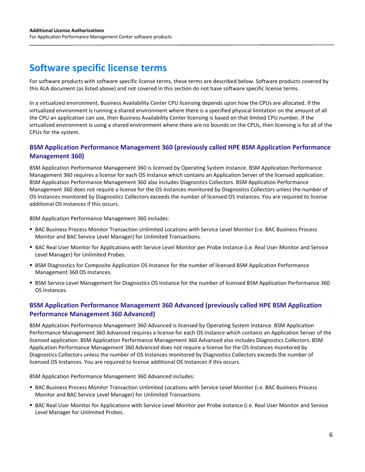# **Software specific license terms**

For software products with software specific license terms, these terms are described below. Software products covered by this ALA document (as listed above) and not covered in this section do not have software specific license terms.

In a virtualized environment, Business Availability Center CPU licensing depends upon how the CPUs are allocated. If the virtualized environment is running a shared environment where there is a specified physical limitation on the amount of all the CPU an application can use, then Business Availability Center licensing is based on that limited CPU number. If the virtualized environment is using a shared environment where there are no bounds on the CPUs, then licensing is for all of the CPUs for the system.

# **BSM Application Performance Management 360 (previously called HPE BSM Application Performance Management 360)**

BSM Application Performance Management 360 is licensed by Operating System Instance. BSM Application Performance Management 360 requires a license for each OS Instance which contains an Application Server of the licensed application. BSM Application Performance Management 360 also includes Diagnostics Collectors. BSM Application Performance Management 360 does not require a license for the OS Instances monitored by Diagnostics Collectors unless the number of OS Instances monitored by Diagnostics Collectors exceeds the number of licensed OS Instances. You are required to license additional OS Instances if this occurs.

BSM Application Performance Management 360 includes:

- BAC Business Process Monitor Transaction Unlimited Locations with Service Level Monitor (i.e. BAC Business Process Monitor and BAC Service Level Manager) for Unlimited Transactions.
- BAC Real User Monitor for Applications with Service Level Monitor per Probe Instance (i.e. Real User Monitor and Service Level Manager) for Unlimited Probes.
- **BSM Diagnostics for Composite Application OS Instance for the number of licensed BSM Application Performance** Management 360 OS Instances.
- **BSM Service Level Management for Diagnostics OS Instance for the number of licensed BSM Application Performance 360** OS Instances.

# **BSM Application Performance Management 360 Advanced (previously called HPE BSM Application Performance Management 360 Advanced)**

BSM Application Performance Management 360 Advanced is licensed by Operating System Instance. BSM Application Performance Management 360 Advanced requires a license for each OS Instance which contains an Application Server of the licensed application. BSM Application Performance Management 360 Advanced also includes Diagnostics Collectors. BSM Application Performance Management 360 Advanced does not require a license for the OS Instances monitored by Diagnostics Collectors unless the number of OS Instances monitored by Diagnostics Collectors exceeds the number of licensed OS Instances. You are required to license additional OS Instances if this occurs.

BSM Application Performance Management 360 Advanced includes:

- BAC Business Process Monitor Transaction Unlimited Locations with Service Level Monitor (i.e. BAC Business Process Monitor and BAC Service Level Manager) for Unlimited Transactions.
- BAC Real User Monitor for Applications with Service Level Monitor per Probe instance (i.e. Real User Monitor and Service Level Manager for Unlimited Probes.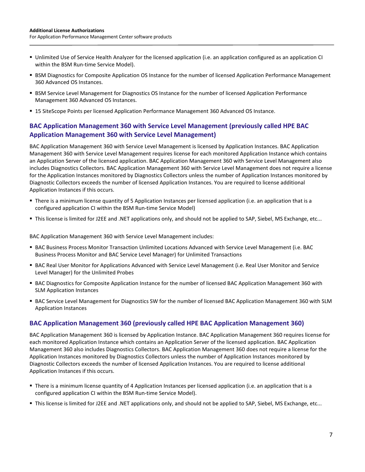- Unlimited Use of Service Health Analyzer for the licensed application (i.e. an application configured as an application CI within the BSM Run-time Service Model).
- **BSM Diagnostics for Composite Application OS Instance for the number of licensed Application Performance Management** 360 Advanced OS Instances.
- **BSM Service Level Management for Diagnostics OS Instance for the number of licensed Application Performance** Management 360 Advanced OS Instances.
- 15 SiteScope Points per licensed Application Performance Management 360 Advanced OS Instance.

# **BAC Application Management 360 with Service Level Management (previously called HPE BAC Application Management 360 with Service Level Management)**

BAC Application Management 360 with Service Level Management is licensed by Application Instances. BAC Application Management 360 with Service Level Management requires license for each monitored Application Instance which contains an Application Server of the licensed application. BAC Application Management 360 with Service Level Management also includes Diagnostics Collectors. BAC Application Management 360 with Service Level Management does not require a license for the Application Instances monitored by Diagnostics Collectors unless the number of Application Instances monitored by Diagnostic Collectors exceeds the number of licensed Application Instances. You are required to license additional Application Instances if this occurs.

- There is a minimum license quantity of 5 Application Instances per licensed application (i.e. an application that is a configured application CI within the BSM Run-time Service Model)
- This license is limited for J2EE and .NET applications only, and should not be applied to SAP, Siebel, MS Exchange, etc...

BAC Application Management 360 with Service Level Management includes:

- BAC Business Process Monitor Transaction Unlimited Locations Advanced with Service Level Management (i.e. BAC Business Process Monitor and BAC Service Level Manager) for Unlimited Transactions
- BAC Real User Monitor for Applications Advanced with Service Level Management (i.e. Real User Monitor and Service Level Manager) for the Unlimited Probes
- BAC Diagnostics for Composite Application Instance for the number of licensed BAC Application Management 360 with SLM Application Instances
- BAC Service Level Management for Diagnostics SW for the number of licensed BAC Application Management 360 with SLM Application Instances

## **BAC Application Management 360 (previously called HPE BAC Application Management 360)**

BAC Application Management 360 is licensed by Application Instance. BAC Application Management 360 requires license for each monitored Application Instance which contains an Application Server of the licensed application. BAC Application Management 360 also includes Diagnostics Collectors. BAC Application Management 360 does not require a license for the Application Instances monitored by Diagnostics Collectors unless the number of Application Instances monitored by Diagnostic Collectors exceeds the number of licensed Application Instances. You are required to license additional Application Instances if this occurs.

- There is a minimum license quantity of 4 Application Instances per licensed application (i.e. an application that is a configured application CI within the BSM Run-time Service Model).
- This license is limited for J2EE and .NET applications only, and should not be applied to SAP, Siebel, MS Exchange, etc...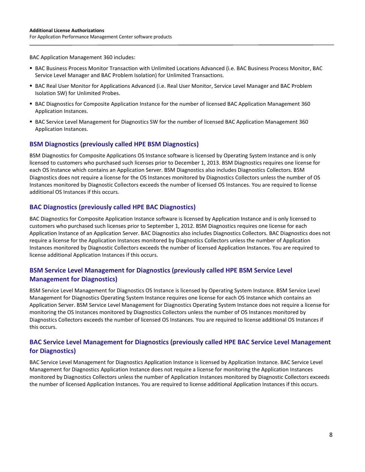BAC Application Management 360 includes:

- BAC Business Process Monitor Transaction with Unlimited Locations Advanced (i.e. BAC Business Process Monitor, BAC Service Level Manager and BAC Problem Isolation) for Unlimited Transactions.
- BAC Real User Monitor for Applications Advanced (i.e. Real User Monitor, Service Level Manager and BAC Problem Isolation SW) for Unlimited Probes.
- BAC Diagnostics for Composite Application Instance for the number of licensed BAC Application Management 360 Application Instances.
- BAC Service Level Management for Diagnostics SW for the number of licensed BAC Application Management 360 Application Instances.

# **BSM Diagnostics (previously called HPE BSM Diagnostics)**

BSM Diagnostics for Composite Applications OS Instance software is licensed by Operating System Instance and is only licensed to customers who purchased such licenses prior to December 1, 2013. BSM Diagnostics requires one license for each OS Instance which contains an Application Server. BSM Diagnostics also includes Diagnostics Collectors. BSM Diagnostics does not require a license for the OS Instances monitored by Diagnostics Collectors unless the number of OS Instances monitored by Diagnostic Collectors exceeds the number of licensed OS Instances. You are required to license additional OS Instances if this occurs.

### **BAC Diagnostics (previously called HPE BAC Diagnostics)**

BAC Diagnostics for Composite Application Instance software is licensed by Application Instance and is only licensed to customers who purchased such licenses prior to September 1, 2012. BSM Diagnostics requires one license for each Application Instance of an Application Server. BAC Diagnostics also includes Diagnostics Collectors. BAC Diagnostics does not require a license for the Application Instances monitored by Diagnostics Collectors unless the number of Application Instances monitored by Diagnostic Collectors exceeds the number of licensed Application Instances. You are required to license additional Application Instances if this occurs.

# **BSM Service Level Management for Diagnostics (previously called HPE BSM Service Level Management for Diagnostics)**

BSM Service Level Management for Diagnostics OS Instance is licensed by Operating System Instance. BSM Service Level Management for Diagnostics Operating System Instance requires one license for each OS Instance which contains an Application Server. BSM Service Level Management for Diagnostics Operating System Instance does not require a license for monitoring the OS Instances monitored by Diagnostics Collectors unless the number of OS Instances monitored by Diagnostics Collectors exceeds the number of licensed OS Instances. You are required to license additional OS Instances if this occurs.

## **BAC Service Level Management for Diagnostics (previously called HPE BAC Service Level Management for Diagnostics)**

BAC Service Level Management for Diagnostics Application Instance is licensed by Application Instance. BAC Service Level Management for Diagnostics Application Instance does not require a license for monitoring the Application Instances monitored by Diagnostics Collectors unless the number of Application Instances monitored by Diagnostic Collectors exceeds the number of licensed Application Instances. You are required to license additional Application Instances if this occurs.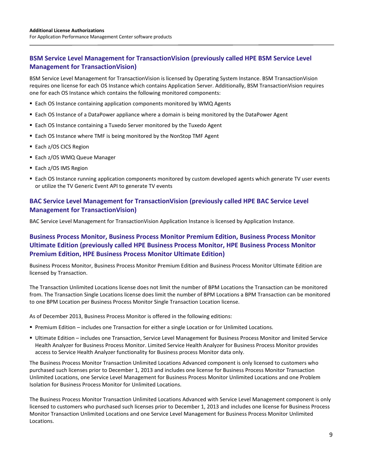# **BSM Service Level Management for TransactionVision (previously called HPE BSM Service Level Management for TransactionVision)**

BSM Service Level Management for TransactionVision is licensed by Operating System Instance. BSM TransactionVision requires one license for each OS Instance which contains Application Server. Additionally, BSM TransactionVision requires one for each OS Instance which contains the following monitored components:

- **Each OS Instance containing application components monitored by WMQ Agents**
- Each OS Instance of a DataPower appliance where a domain is being monitored by the DataPower Agent
- **Each OS Instance containing a Tuxedo Server monitored by the Tuxedo Agent**
- Each OS Instance where TMF is being monitored by the NonStop TMF Agent
- Each z/OS CICS Region
- **Each z/OS WMQ Queue Manager**
- Each z/OS IMS Region
- Each OS Instance running application components monitored by custom developed agents which generate TV user events or utilize the TV Generic Event API to generate TV events

# **BAC Service Level Management for TransactionVision (previously called HPE BAC Service Level Management for TransactionVision)**

BAC Service Level Management for TransactionVision Application Instance is licensed by Application Instance.

# **Business Process Monitor, Business Process Monitor Premium Edition, Business Process Monitor Ultimate Edition (previously called HPE Business Process Monitor, HPE Business Process Monitor Premium Edition, HPE Business Process Monitor Ultimate Edition)**

Business Process Monitor, Business Process Monitor Premium Edition and Business Process Monitor Ultimate Edition are licensed by Transaction.

The Transaction Unlimited Locations license does not limit the number of BPM Locations the Transaction can be monitored from. The Transaction Single Locations license does limit the number of BPM Locations a BPM Transaction can be monitored to one BPM Location per Business Process Monitor Single Transaction Location license.

As of December 2013, Business Process Monitor is offered in the following editions:

- **Premium Edition includes one Transaction for either a single Location or for Unlimited Locations.**
- Ultimate Edition includes one Transaction, Service Level Management for Business Process Monitor and limited Service Health Analyzer for Business Process Monitor. Limited Service Health Analyzer for Business Process Monitor provides access to Service Health Analyzer functionality for Business process Monitor data only.

The Business Process Monitor Transaction Unlimited Locations Advanced component is only licensed to customers who purchased such licenses prior to December 1, 2013 and includes one license for Business Process Monitor Transaction Unlimited Locations, one Service Level Management for Business Process Monitor Unlimited Locations and one Problem Isolation for Business Process Monitor for Unlimited Locations.

The Business Process Monitor Transaction Unlimited Locations Advanced with Service Level Management component is only licensed to customers who purchased such licenses prior to December 1, 2013 and includes one license for Business Process Monitor Transaction Unlimited Locations and one Service Level Management for Business Process Monitor Unlimited Locations.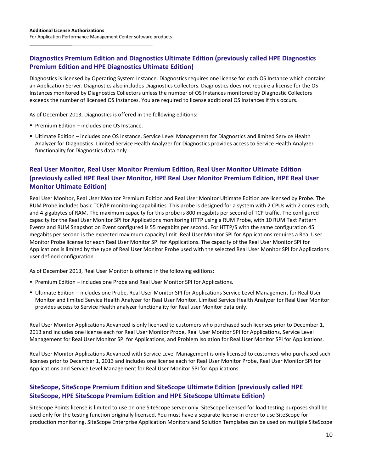# **Diagnostics Premium Edition and Diagnostics Ultimate Edition (previously called HPE Diagnostics Premium Edition and HPE Diagnostics Ultimate Edition)**

Diagnostics is licensed by Operating System Instance. Diagnostics requires one license for each OS Instance which contains an Application Server. Diagnostics also includes Diagnostics Collectors. Diagnostics does not require a license for the OS Instances monitored by Diagnostics Collectors unless the number of OS Instances monitored by Diagnostic Collectors exceeds the number of licensed OS Instances. You are required to license additional OS Instances if this occurs.

As of December 2013, Diagnostics is offered in the following editions:

- **Premium Edition includes one OS Instance.**
- Ultimate Edition includes one OS Instance, Service Level Management for Diagnostics and limited Service Health Analyzer for Diagnostics. Limited Service Health Analyzer for Diagnostics provides access to Service Health Analyzer functionality for Diagnostics data only.

# **Real User Monitor, Real User Monitor Premium Edition, Real User Monitor Ultimate Edition (previously called HPE Real User Monitor, HPE Real User Monitor Premium Edition, HPE Real User Monitor Ultimate Edition)**

Real User Monitor, Real User Monitor Premium Edition and Real User Monitor Ultimate Edition are licensed by Probe. The RUM Probe includes basic TCP/IP monitoring capabilities. This probe is designed for a system with 2 CPUs with 2 cores each, and 4 gigabytes of RAM. The maximum capacity for this probe is 800 megabits per second of TCP traffic. The configured capacity for the Real User Monitor SPI for Applications monitoring HTTP using a RUM Probe, with 10 RUM Text Pattern Events and RUM Snapshot on Event configured is 55 megabits per second. For HTTP/S with the same configuration 45 megabits per second is the expected maximum capacity limit. Real User Monitor SPI for Applications requires a Real User Monitor Probe license for each Real User Monitor SPI for Applications. The capacity of the Real User Monitor SPI for Applications is limited by the type of Real User Monitor Probe used with the selected Real User Monitor SPI for Applications user defined configuration.

As of December 2013, Real User Monitor is offered in the following editions:

- **Premium Edition includes one Probe and Real User Monitor SPI for Applications.**
- Ultimate Edition includes one Probe, Real User Monitor SPI for Applications Service Level Management for Real User Monitor and limited Service Health Analyzer for Real User Monitor. Limited Service Health Analyzer for Real User Monitor provides access to Service Health analyzer functionality for Real user Monitor data only.

Real User Monitor Applications Advanced is only licensed to customers who purchased such licenses prior to December 1, 2013 and includes one license each for Real User Monitor Probe, Real User Monitor SPI for Applications, Service Level Management for Real User Monitor SPI for Applications, and Problem Isolation for Real User Monitor SPI for Applications.

Real User Monitor Applications Advanced with Service Level Management is only licensed to customers who purchased such licenses prior to December 1, 2013 and includes one license each for Real User Monitor Probe, Real User Monitor SPI for Applications and Service Level Management for Real User Monitor SPI for Applications.

# **SiteScope, SiteScope Premium Edition and SiteScope Ultimate Edition (previously called HPE SiteScope, HPE SiteScope Premium Edition and HPE SiteScope Ultimate Edition)**

SiteScope Points license is limited to use on one SiteScope server only. SiteScope licensed for load testing purposes shall be used only for the testing function originally licensed. You must have a separate license in order to use SiteScope for production monitoring. SiteScope Enterprise Application Monitors and Solution Templates can be used on multiple SiteScope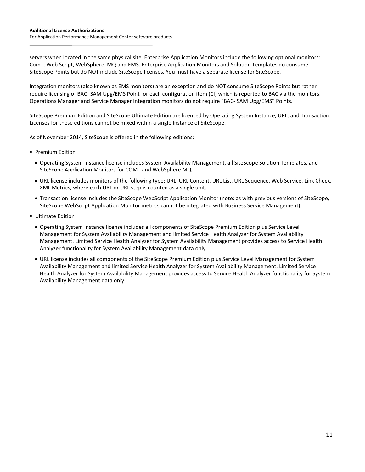servers when located in the same physical site. Enterprise Application Monitors include the following optional monitors: Com+, Web Script, WebSphere. MQ and EMS. Enterprise Application Monitors and Solution Templates do consume SiteScope Points but do NOT include SiteScope licenses. You must have a separate license for SiteScope.

Integration monitors (also known as EMS monitors) are an exception and do NOT consume SiteScope Points but rather require licensing of BAC- SAM Upg/EMS Point for each configuration item (CI) which is reported to BAC via the monitors. Operations Manager and Service Manager Integration monitors do not require "BAC- SAM Upg/EMS" Points.

SiteScope Premium Edition and SiteScope Ultimate Edition are licensed by Operating System Instance, URL, and Transaction. Licenses for these editions cannot be mixed within a single Instance of SiteScope.

As of November 2014, SiteScope is offered in the following editions:

- **Premium Edition** 
	- Operating System Instance license includes System Availability Management, all SiteScope Solution Templates, and SiteScope Application Monitors for COM+ and WebSphere MQ.
	- URL license includes monitors of the following type: URL, URL Content, URL List, URL Sequence, Web Service, Link Check, XML Metrics, where each URL or URL step is counted as a single unit.
	- Transaction license includes the SiteScope WebScript Application Monitor (note: as with previous versions of SiteScope, SiteScope WebScript Application Monitor metrics cannot be integrated with Business Service Management).
- **Ultimate Edition** 
	- Operating System Instance license includes all components of SiteScope Premium Edition plus Service Level Management for System Availability Management and limited Service Health Analyzer for System Availability Management. Limited Service Health Analyzer for System Availability Management provides access to Service Health Analyzer functionality for System Availability Management data only.
	- URL license includes all components of the SiteScope Premium Edition plus Service Level Management for System Availability Management and limited Service Health Analyzer for System Availability Management. Limited Service Health Analyzer for System Availability Management provides access to Service Health Analyzer functionality for System Availability Management data only.